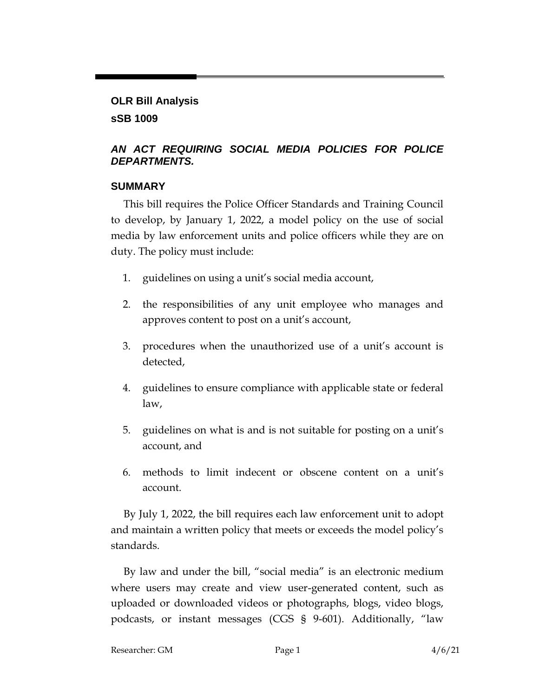## **OLR Bill Analysis sSB 1009**

## *AN ACT REQUIRING SOCIAL MEDIA POLICIES FOR POLICE DEPARTMENTS.*

## **SUMMARY**

This bill requires the Police Officer Standards and Training Council to develop, by January 1, 2022, a model policy on the use of social media by law enforcement units and police officers while they are on duty. The policy must include:

- 1. guidelines on using a unit's social media account,
- 2. the responsibilities of any unit employee who manages and approves content to post on a unit's account,
- 3. procedures when the unauthorized use of a unit's account is detected,
- 4. guidelines to ensure compliance with applicable state or federal law,
- 5. guidelines on what is and is not suitable for posting on a unit's account, and
- 6. methods to limit indecent or obscene content on a unit's account.

By July 1, 2022, the bill requires each law enforcement unit to adopt and maintain a written policy that meets or exceeds the model policy's standards.

By law and under the bill, "social media" is an electronic medium where users may create and view user-generated content, such as uploaded or downloaded videos or photographs, blogs, video blogs, podcasts, or instant messages (CGS § 9-601). Additionally, "law